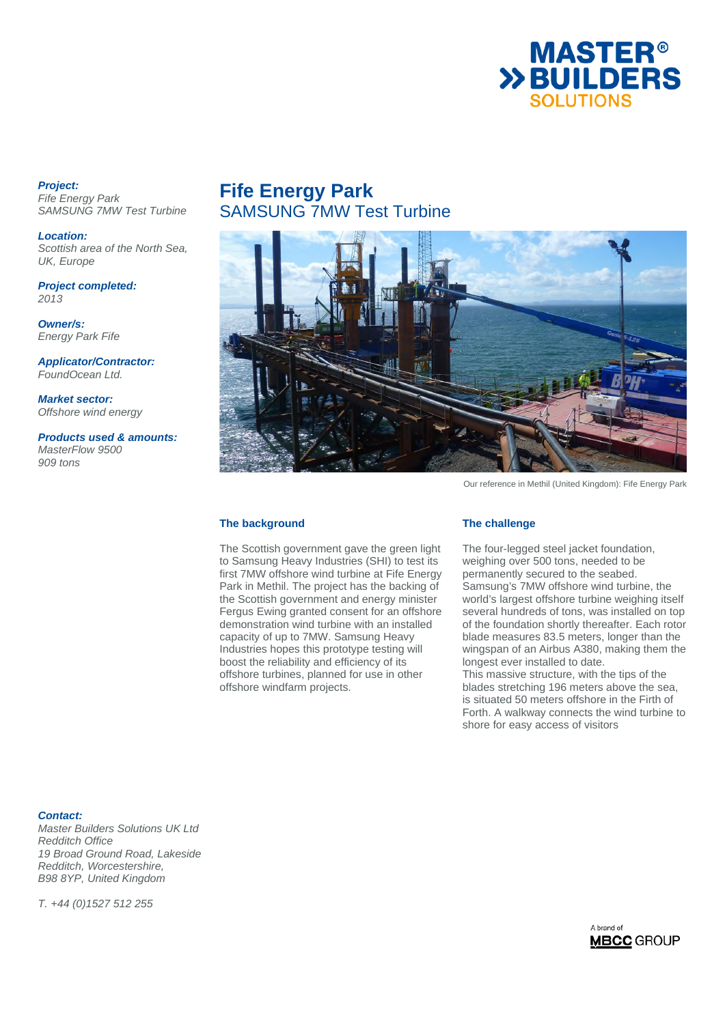

### *Project:*

*Fife Energy Park SAMSUNG 7MW Test Turbine* 

*Location: Scottish area of the North Sea, UK, Europe* 

*Project completed: 2013* 

*Owner/s: Energy Park Fife* 

*Applicator/Contractor: FoundOcean Ltd.* 

*Market sector: Offshore wind energy* 

*Products used & amounts: MasterFlow 9500 909 tons*

# **Fife Energy Park**  SAMSUNG 7MW Test Turbine



Our reference in Methil (United Kingdom): Fife Energy Park

### **The background**

The Scottish government gave the green light to Samsung Heavy Industries (SHI) to test its first 7MW offshore wind turbine at Fife Energy Park in Methil. The project has the backing of the Scottish government and energy minister Fergus Ewing granted consent for an offshore demonstration wind turbine with an installed capacity of up to 7MW. Samsung Heavy Industries hopes this prototype testing will boost the reliability and efficiency of its offshore turbines, planned for use in other offshore windfarm projects.

#### **The challenge**

The four-legged steel jacket foundation, weighing over 500 tons, needed to be permanently secured to the seabed. Samsung's 7MW offshore wind turbine, the world's largest offshore turbine weighing itself several hundreds of tons, was installed on top of the foundation shortly thereafter. Each rotor blade measures 83.5 meters, longer than the wingspan of an Airbus A380, making them the longest ever installed to date. This massive structure, with the tips of the

blades stretching 196 meters above the sea, is situated 50 meters offshore in the Firth of Forth. A walkway connects the wind turbine to shore for easy access of visitors

*Contact:* 

*Master Builders Solutions UK Ltd Redditch Office 19 Broad Ground Road, Lakeside Redditch, Worcestershire, B98 8YP, United Kingdom* 

*T. +44 (0)1527 512 255*